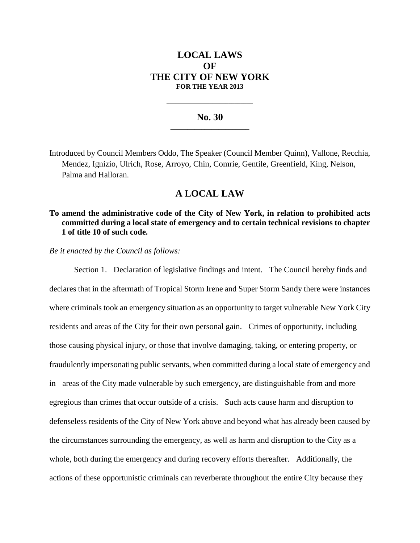# **LOCAL LAWS OF THE CITY OF NEW YORK FOR THE YEAR 2013**

#### **No. 30 \_\_\_\_\_\_\_\_\_\_\_\_\_\_\_\_\_\_\_\_\_\_\_**

**\_\_\_\_\_\_\_\_\_\_\_\_\_\_\_\_\_\_\_\_\_\_\_\_\_\_\_\_**

Introduced by Council Members Oddo, The Speaker (Council Member Quinn), Vallone, Recchia, Mendez, Ignizio, Ulrich, Rose, Arroyo, Chin, Comrie, Gentile, Greenfield, King, Nelson, Palma and Halloran.

# **A LOCAL LAW**

### **To amend the administrative code of the City of New York, in relation to prohibited acts committed during a local state of emergency and to certain technical revisions to chapter 1 of title 10 of such code.**

*Be it enacted by the Council as follows:*

Section 1. Declaration of legislative findings and intent. The Council hereby finds and declares that in the aftermath of Tropical Storm Irene and Super Storm Sandy there were instances where criminals took an emergency situation as an opportunity to target vulnerable New York City residents and areas of the City for their own personal gain. Crimes of opportunity, including those causing physical injury, or those that involve damaging, taking, or entering property, or fraudulently impersonating public servants, when committed during a local state of emergency and in areas of the City made vulnerable by such emergency, are distinguishable from and more egregious than crimes that occur outside of a crisis. Such acts cause harm and disruption to defenseless residents of the City of New York above and beyond what has already been caused by the circumstances surrounding the emergency, as well as harm and disruption to the City as a whole, both during the emergency and during recovery efforts thereafter. Additionally, the actions of these opportunistic criminals can reverberate throughout the entire City because they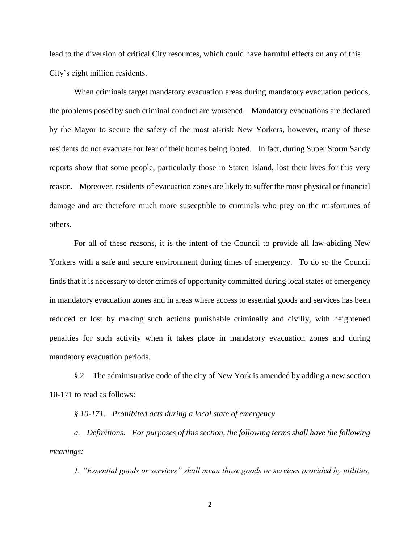lead to the diversion of critical City resources, which could have harmful effects on any of this City's eight million residents.

When criminals target mandatory evacuation areas during mandatory evacuation periods, the problems posed by such criminal conduct are worsened. Mandatory evacuations are declared by the Mayor to secure the safety of the most at-risk New Yorkers, however, many of these residents do not evacuate for fear of their homes being looted. In fact, during Super Storm Sandy reports show that some people, particularly those in Staten Island, lost their lives for this very reason. Moreover, residents of evacuation zones are likely to suffer the most physical or financial damage and are therefore much more susceptible to criminals who prey on the misfortunes of others.

For all of these reasons, it is the intent of the Council to provide all law-abiding New Yorkers with a safe and secure environment during times of emergency. To do so the Council finds that it is necessary to deter crimes of opportunity committed during local states of emergency in mandatory evacuation zones and in areas where access to essential goods and services has been reduced or lost by making such actions punishable criminally and civilly, with heightened penalties for such activity when it takes place in mandatory evacuation zones and during mandatory evacuation periods.

§ 2. The administrative code of the city of New York is amended by adding a new section 10-171 to read as follows:

*§ 10-171. Prohibited acts during a local state of emergency.*

*a. Definitions. For purposes of this section, the following terms shall have the following meanings:*

*1. "Essential goods or services" shall mean those goods or services provided by utilities,* 

2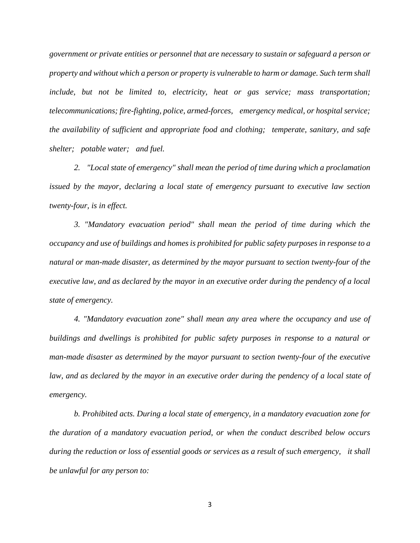*government or private entities or personnel that are necessary to sustain or safeguard a person or property and without which a person or property is vulnerable to harm or damage. Such term shall include, but not be limited to, electricity, heat or gas service; mass transportation; telecommunications; fire-fighting, police, armed-forces, emergency medical, or hospital service; the availability of sufficient and appropriate food and clothing; temperate, sanitary, and safe shelter; potable water; and fuel.*

*2. "Local state of emergency" shall mean the period of time during which a proclamation issued by the mayor, declaring a local state of emergency pursuant to executive law section twenty-four, is in effect.*

*3. "Mandatory evacuation period" shall mean the period of time during which the occupancy and use of buildings and homes is prohibited for public safety purposes in response to a natural or man-made disaster, as determined by the mayor pursuant to section twenty-four of the executive law, and as declared by the mayor in an executive order during the pendency of a local state of emergency.*

*4. "Mandatory evacuation zone" shall mean any area where the occupancy and use of buildings and dwellings is prohibited for public safety purposes in response to a natural or man-made disaster as determined by the mayor pursuant to section twenty-four of the executive*  law, and as declared by the mayor in an executive order during the pendency of a local state of *emergency.*

*b. Prohibited acts. During a local state of emergency, in a mandatory evacuation zone for the duration of a mandatory evacuation period, or when the conduct described below occurs during the reduction or loss of essential goods or services as a result of such emergency, it shall be unlawful for any person to:* 

3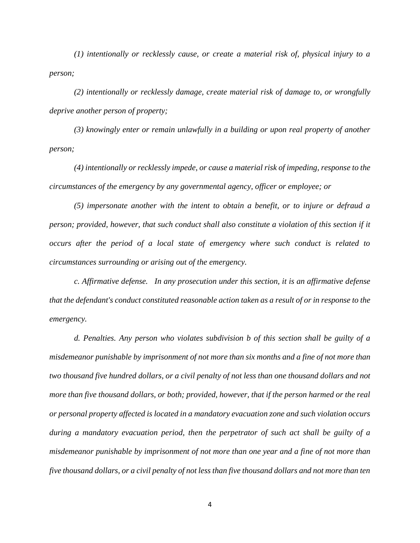*(1) intentionally or recklessly cause, or create a material risk of, physical injury to a person;* 

*(2) intentionally or recklessly damage, create material risk of damage to, or wrongfully deprive another person of property;* 

*(3) knowingly enter or remain unlawfully in a building or upon real property of another person;* 

*(4) intentionally or recklessly impede, or cause a material risk of impeding, response to the circumstances of the emergency by any governmental agency, officer or employee; or*

*(5) impersonate another with the intent to obtain a benefit, or to injure or defraud a person; provided, however, that such conduct shall also constitute a violation of this section if it occurs after the period of a local state of emergency where such conduct is related to circumstances surrounding or arising out of the emergency.*

*c. Affirmative defense. In any prosecution under this section, it is an affirmative defense that the defendant's conduct constituted reasonable action taken as a result of or in response to the emergency.*

*d. Penalties. Any person who violates subdivision b of this section shall be guilty of a misdemeanor punishable by imprisonment of not more than six months and a fine of not more than two thousand five hundred dollars, or a civil penalty of not less than one thousand dollars and not more than five thousand dollars, or both; provided, however, that if the person harmed or the real or personal property affected is located in a mandatory evacuation zone and such violation occurs during a mandatory evacuation period, then the perpetrator of such act shall be guilty of a misdemeanor punishable by imprisonment of not more than one year and a fine of not more than five thousand dollars, or a civil penalty of not less than five thousand dollars and not more than ten*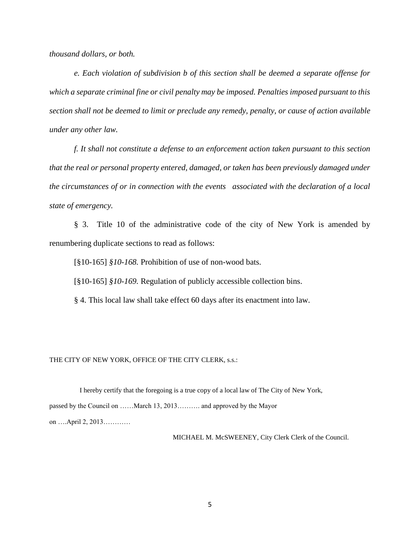*thousand dollars, or both.*

*e. Each violation of subdivision b of this section shall be deemed a separate offense for which a separate criminal fine or civil penalty may be imposed. Penalties imposed pursuant to this section shall not be deemed to limit or preclude any remedy, penalty, or cause of action available under any other law.*

*f. It shall not constitute a defense to an enforcement action taken pursuant to this section that the real or personal property entered, damaged, or taken has been previously damaged under the circumstances of or in connection with the events associated with the declaration of a local state of emergency.*

§ 3. Title 10 of the administrative code of the city of New York is amended by renumbering duplicate sections to read as follows:

[§10-165] *§10-168.* Prohibition of use of non-wood bats.

[§10-165] *§10-169*. Regulation of publicly accessible collection bins.

§ 4. This local law shall take effect 60 days after its enactment into law.

THE CITY OF NEW YORK, OFFICE OF THE CITY CLERK, s.s.:

 I hereby certify that the foregoing is a true copy of a local law of The City of New York, passed by the Council on ……March 13, 2013………. and approved by the Mayor on ….April 2, 2013…………

MICHAEL M. McSWEENEY, City Clerk Clerk of the Council.